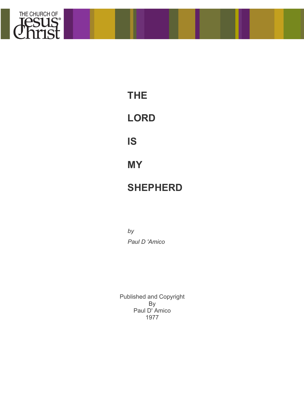

**THE LORD**

**IS**

**MY**

# **SHEPHERD**

*by Paul D 'Amico*

Published and Copyright By Paul D' Amico 1977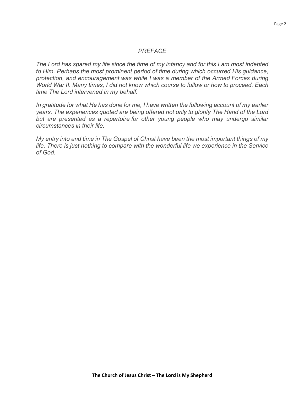#### *PREFACE*

*The Lord has spared my life since the time of my infancy and for this I am most indebted to Him. Perhaps the most prominent period of time during which occurred His guidance, protection, and encouragement was while I was* a *member of the Armed Forces during World War II. Many times, I did not know which course to follow or how to proceed. Each time The Lord intervened in my behalf.*

*In gratitude for what He has done for me, I have written the following account of my earlier years. The experiences quoted are being offered not only to glorify The Hand of the Lord but are presented as a repertoire for other young people who may undergo similar circumstances in their life.*

*My entry into and time in The Gospel of Christ have been the most important things of my life. There is just nothing to compare with the wonderful life we experience in the Service of God.*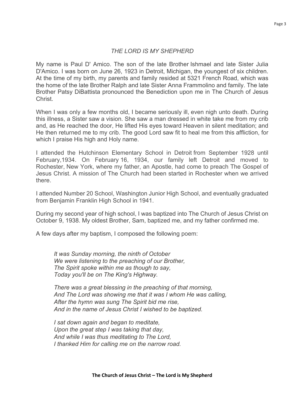#### *THE LORD IS MY SHEPHERD*

My name is Paul D' Amico. The son of the late Brother Ishmael and late Sister Julia D'Amico. I was born on June 26, 1923 in Detroit, Michigan, the youngest of six children. At the time of my birth, my parents and family resided at 5321 French Road, which was the home of the late Brother Ralph and late Sister Anna Frammolino and family. The late Brother Patsy DiBattista pronounced the Benediction upon me in The Church of Jesus Christ.

When I was only a few months old, I became seriously ill, even nigh unto death. During this illness, a Sister saw a vision. She saw a man dressed in white take me from my crib and, as He reached the door, He lifted His eyes toward Heaven in silent meditation; and He then returned me to my crib. The good Lord saw fit to heal me from this affliction, for which I praise His high and Holy name.

I attended the Hutchinson Elementary School in Detroit from September 1928 until February,1934. On February 16, 1934, our family left Detroit and moved to Rochester, New York, where my father, an Apostle, had come to preach The Gospel of Jesus Christ. A mission of The Church had been started in Rochester when we arrived there.

I attended Number 20 School, Washington Junior High School, and eventually graduated from Benjamin Franklin High School in 1941.

During my second year of high school, I was baptized into The Church of Jesus Christ on October 9, 1938. My oldest Brother, Sam, baptized me, and my father confirmed me.

A few days after my baptism, I composed the following poem:

*It was Sunday morning, the ninth of October We were listening to the preaching of our Brother, The Spirit spoke within me as though to say, Today you'll be on The King's Highway.*

*There was a great blessing in the preaching of that morning, And The Lord was showing me that it was I whom He was calling, After the hymn was sung The Spirit bid me rise, And in the name of Jesus Christ I wished to be baptized.*

*I sat down again and began to meditate, Upon the great step I was taking that day, And while I was thus meditating to The Lord, I thanked Him for calling me on the narrow road.*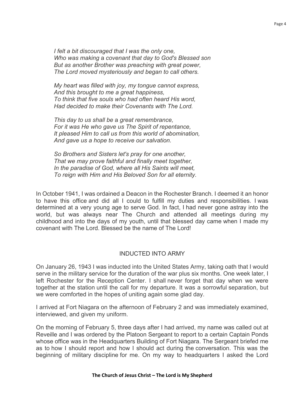*I felt a bit discouraged that I was the only one, Who was making* a *covenant that day to God's Blessed son But as another Brother was preaching with great power, The Lord moved mysteriously and began to call others.*

*My heart was filled with joy, my tongue cannot express, And this brought to me a great happiness, To think that five souls who had often heard His word, Had decided to make their Covenants with The Lord.*

*This day to us shall be* a *great remembrance, For it was He who gave us The Spirit of repentance, It pleased Him to call us from this world of abomination, And gave us a hope to receive our salvation.*

*So Brothers and Sisters let's pray for one another, That we may prove faithful and finally meet together, In the paradise of God, where all His Saints will meet, To reign with Him and His Beloved Son for all eternity.*

In October 1941, I was ordained a Deacon in the Rochester Branch. I deemed it an honor to have this office and did all I could to fulfill my duties and responsibilities. I was determined at a very young age to serve God. In fact, I had never gone astray into the world, but was always near The Church and attended all meetings during my childhood and into the days of my youth, until that blessed day came when I made my covenant with The Lord. Blessed be the name of The Lord!

#### INDUCTED INTO ARMY

On January 26, 1943 I was inducted into the United States Army, taking oath that I would serve in the military service for the duration of the war plus six months. One week later, I left Rochester for the Reception Center. I shall never forget that day when we were together at the station until the call for my departure. It was a sorrowful separation, but we were comforted in the hopes of uniting again some glad day.

I arrived at Fort Niagara on the afternoon of February 2 and was immediately examined, interviewed, and given my uniform.

On the morning of February 5, three days after I had arrived, my name was called out at Reveille and I was ordered by the Platoon Sergeant to report to a certain Captain Ponds whose office was in the Headquarters Building of Fort Niagara. The Sergeant briefed me as to how I should report and how I should act during the conversation. This was the beginning of military discipline for me. On my way to headquarters I asked the Lord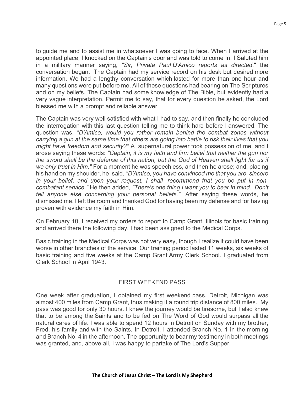to guide me and to assist me in whatsoever I was going to face. When I arrived at the appointed place, I knocked on the Captain's door and was told to come In. I Saluted him in a military manner saying, *"Sir, Private Paul D'Amico reports as directed.*" the conversation began. The Captain had my service record on his desk but desired more information. We had a lengthy conversation which lasted for more than one hour and many questions were put before me. All of these questions had bearing on The Scriptures and on my beliefs. The Captain had some knowledge of The Bible, but evidently had a very vague interpretation. Permit me to say, that for every question he asked, the Lord blessed me with a prompt and reliable answer.

The Captain was very well satisfied with what I had to say, and then finally he concluded the interrogation with this last question telling me to think hard before I answered. The question was, *"D'Amico, would you rather remain behind the combat zones without carrying a gun at the same time that others are going into battle to risk their lives that you might have freedom and security?"* A supernatural power took possession of me, and I arose saying these words: *"Captain, it is my faith and firm belief that neither the gun nor the sword shall be the defense of this nation, but the God of Heaven shall fight for us if we only trust in Him."* For a moment he was speechless, and then he arose; and, placing his hand on my shoulder, he said, *"D'Amico, you have convinced me that you are sincere in your belief, and upon your request, I shall recommend that you be put in noncombatant service."* He then added, *"There's one thing I want you to bear in mind. Don't tell anyone else concerning your personal beliefs."* After saying these words, he dismissed me. I left the room and thanked God for having been my defense and for having proven with evidence my faith in Him.

On February 10, I received my orders to report to Camp Grant, Illinois for basic training and arrived there the following day. I had been assigned to the Medical Corps.

Basic training in the Medical Corps was not very easy, though I realize it could have been worse in other branches of the service. Our training period lasted 11 weeks, six weeks of basic training and five weeks at the Camp Grant Army Clerk School. I graduated from Clerk School in April 1943.

# FIRST WEEKEND PASS

One week after graduation, I obtained my first weekend pass. Detroit, Michigan was almost 400 miles from Camp Grant, thus making it a round trip distance of 800 miles. My pass was good tor only 30 hours. I knew the journey would be tiresome, but I also knew that to be among the Saints and to be fed on The Word of God would surpass all the natural cares of life. I was able to spend 12 hours in Detroit on Sunday with my brother, Fred, his family and with the Saints. In Detroit, I attended Branch No. 1 in the morning and Branch No. 4 in the afternoon. The opportunity to bear my testimony in both meetings was granted, and, above all, I was happy to partake of The Lord's Supper.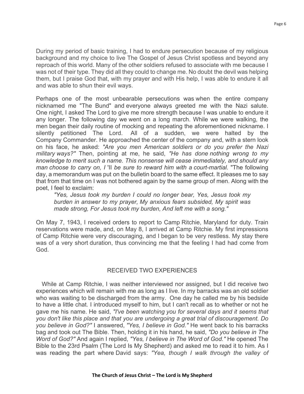During my period of basic training, I had to endure persecution because of my religious background and my choice to live The Gospel of Jesus Christ spotless and beyond any reproach of this world. Many of the other soldiers refused to associate with me because I was not of their type. They did all they could to change me. No doubt the devil was helping them, but I praise God that, with my prayer and with His help, I was able to endure it all and was able to shun their evil ways.

Perhaps one of the most unbearable persecutions was when the entire company nicknamed me "The Bund" and everyone always greeted me with the Nazi salute. One night, I asked The Lord to give me more strength because I was unable to endure it any longer. The following day we went on a long march. While we were walking, the men began their daily routine of mocking and repeating the aforementioned nickname. I silently petitioned The Lord. All of a sudden, we were halted by the Company Commander. He approached the center of the company and, with a stern look on his face, he asked: *"Are you men American soldiers or do you prefer the Nazi military ways?"* Then, pointing at me, he said, *"He has done nothing wrong to my knowledge to merit such a name. This nonsense will cease immediately, and should any man choose to carry on, I* 'II *be sure to reward him with a court-martial.* "The following day, a memorandum was put on the bulletin board to the same effect. It pleases me to say that from that time on I was not bothered again by the same group of men. Along with the poet, I feel to exclaim:

*"Yes, Jesus took my burden I could no longer bear, Yes, Jesus took my burden in answer to my prayer, My anxious fears subsided, My spirit was made strong, For Jesus took my burden, And left me with a song."*

On May 7, 1943, I received orders to report to Camp Ritchie, Maryland for duty. Train reservations were made, and, on May 8, I arrived at Camp Ritchie. My first impressions of Camp Ritchie were very discouraging, and I began to be very restless. My stay there was of a very short duration, thus convincing me that the feeling I had had come from God.

# RECEIVED TWO EXPERIENCES

While at Camp Ritchie, I was neither interviewed nor assigned, but I did receive two experiences which will remain with me as long as I live. In my barracks was an old soldier who was waiting to be discharged from the army. One day he called me by his bedside to have a little chat. I introduced myself to him, but I can't recall as to whether or not he gave me his name. He said, *"I've been watching you for several days and it seems that you don't like this place and that you are undergoing a great trial of discouragement. Do you believe in God?"* I answered, *"Yes, I believe in God."* He went back to his barracks bag and took out The Bible. Then, holding it in his hand, he said, *"Do you believe in The Word of God?"* And again I replied, *"Yes, I believe in The Word of God."* He opened The Bible to the 23rd Psalm (The Lord Is My Shepherd) and asked me to read it to him. As I was reading the part where David says: *"Yea, though I walk through the valley of*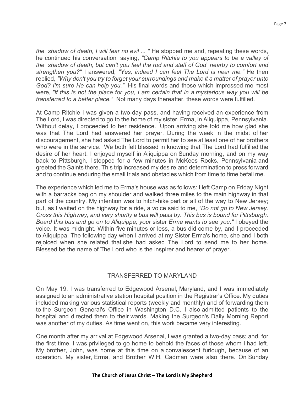*the shadow of death, I will fear no evil ... "* He stopped me and, repeating these words, he continued his conversation saying, *"Camp Ritchie to you appears to be a valley of the shadow of death, but can't you feel the rod and staff of God nearby to comfort and strengthen you?"* I answered, *"Yes, indeed I can feel The Lord is near me."* He then replied, *"Why don't you try to forget your surroundings and make it a matter of prayer unto God? I'm sure He can help you."* His final words and those which impressed me most were, *"If this is not the place for you, I am certain that in a mysterious way you will be transferred to a better place."* Not many days thereafter, these words were fulfilled.

At Camp Ritchie I was given a two-day pass, and having received an experience from The Lord, I was directed to go to the home of my sister, Erma, in Aliquippa, Pennsylvania. Without delay, I proceeded to her residence. Upon arriving she told me how glad she was that The Lord had answered her prayer. During the week in the midst of her discouragement, she had asked The Lord to permit her to see at least one of her brothers who were in the service. We both felt blessed in knowing that The Lord had fulfilled the desire of her heart. I enjoyed myself in Aliquippa on Sunday morning, and on my way back to Pittsburgh, I stopped for a few minutes in McKees Rocks, Pennsylvania and greeted the Saints there. This trip increased my desire and determination to press forward and to continue enduring the small trials and obstacles which from time to time befall me.

The experience which led me to Erma's house was as follows: I left Camp on Friday Night with a barracks bag on my shoulder and walked three miles to the main highway in that part of the country. My intention was to hitch-hike part or all of the way to New Jersey; but, as I waited on the highway for a ride, a voice said to me, *"Do not go to New Jersey. Cross this Highway, and very shortly a bus will pass by. This bus is bound for Pittsburgh. Board this bus and go on to Aliquippa; your* sister *Erma wants to* see *you."* I obeyed the voice. It was midnight. Within five minutes or less, a bus did come by, and I proceeded to Aliquippa. The following day when I arrived at my Sister Erma's home, she and I both rejoiced when she related that she had asked The Lord to send me to her home. Blessed be the name of The Lord who is the inspirer and hearer of prayer.

# TRANSFERRED TO MARYLAND

On May 19, I was transferred to Edgewood Arsenal, Maryland, and I was immediately assigned to an administrative station hospital position in the Registrar's Office. My duties included making various statistical reports (weekly and monthly) and of forwarding them to the Surgeon General's Office in Washington D.C. I also admitted patients to the hospital and directed them to their wards. Making the Surgeon's Daily Morning Report was another of my duties. As time went on, this work became very interesting.

One month after my arrival at Edgewood Arsenal, I was granted a two-day pass; and, for the first time, I was privileged to go home to behold the faces of those whom I had left. My brother, John, was home at this time on a convalescent furlough, because of an operation. My sister, Erma, and Brother W.H. Cadman were also there. On Sunday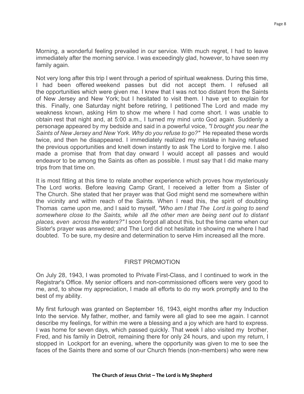Morning, a wonderful feeling prevailed in our service. With much regret, I had to leave immediately after the morning service. I was exceedingly glad, however, to have seen my family again.

Not very long after this trip I went through a period of spiritual weakness. During this time, I had been offered weekend passes but did not accept them. I refused all the opportunities which were given me. I knew that I was not too distant from the Saints of New Jersey and New York; but I hesitated to visit them. I have yet to explain for this. Finally, one Saturday night before retiring, I petitioned The Lord and made my weakness known, asking Him to show me where I had come short. I was unable to obtain rest that night and, at 5:00 a.m., I turned my mind unto God again. Suddenly a personage appeared by my bedside and said in a powerful voice, *"I brought you near the Saints of New Jersey and New York. Why do you refuse to go?"* He repeated these words twice, and then he disappeared. I immediately realized my mistake in having refused the previous opportunities and knelt down instantly to ask The Lord to forgive me. I also made a promise that from that day onward I would accept all passes and would endeavor to be among the Saints as often as possible. I must say that I did make many trips from that time on.

It is most fitting at this time to relate another experience which proves how mysteriously The Lord works. Before leaving Camp Grant, I received a letter from a Sister of The Church. She stated that her prayer was that God might send me somewhere within the vicinity and within reach of the Saints. When I read this, the spirit of doubting Thomas came upon me, and I said to myself, *"Who am I that The Lord is going to send somewhere close to the Saints, while all the other men are being sent out to distant places, even across the waters?"* I soon forgot all about this, but the time came when our Sister's prayer was answered; and The Lord did not hesitate in showing me where I had doubted. To be sure, my desire and determination to serve Him increased all the more.

#### FIRST PROMOTION

On July 28, 1943, I was promoted to Private First-Class, and I continued to work in the Registrar's Office. My senior officers and non-commissioned officers were very good to me, and, to show my appreciation, I made all efforts to do my work promptly and to the best of my ability.

My first furlough was granted on September 16, 1943, eight months after my Induction Into the service. My father, mother, and family were all glad to see me again. I cannot describe my feelings, for within me were a blessing and a joy which are hard to express. I was home for seven days, which passed quickly. That week I also visited my brother, Fred, and his family in Detroit, remaining there for only 24 hours, and upon my return, I stopped in Lockport for an evening, where the opportunity was given to me to see the faces of the Saints there and some of our Church friends (non-members) who were new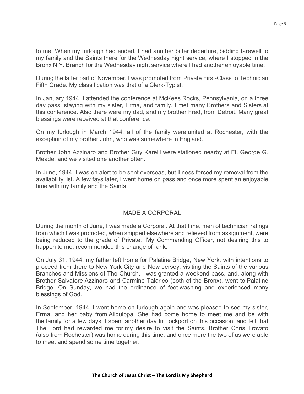to me. When my furlough had ended, I had another bitter departure, bidding farewell to my family and the Saints there for the Wednesday night service, where I stopped in the Bronx N.Y. Branch for the Wednesday night service where I had another enjoyable time.

During the latter part of November, I was promoted from Private First-Class to Technician Fifth Grade. My classification was that of a Clerk-Typist.

In January 1944, I attended the conference at McKees Rocks, Pennsylvania, on a three day pass, staying with my sister, Erma, and family. I met many Brothers and Sisters at this conference. Also there were my dad, and my brother Fred, from Detroit. Many great blessings were received at that conference.

On my furlough in March 1944, all of the family were united at Rochester, with the exception of my brother John, who was somewhere in England.

Brother John Azzinaro and Brother Guy Karelli were stationed nearby at Ft. George G. Meade, and we visited one another often.

In June, 1944, I was on alert to be sent overseas, but illness forced my removal from the availability list. A few fays later, I went home on pass and once more spent an enjoyable time with my family and the Saints.

# MADE A CORPORAL

During the month of June, I was made a Corporal. At that time, men of technician ratings from which I was promoted, when shipped elsewhere and relieved from assignment, were being reduced to the grade of Private. My Commanding Officer, not desiring this to happen to me, recommended this change of rank.

On July 31, 1944, my father left home for Palatine Bridge, New York, with intentions to proceed from there to New York City and New Jersey, visiting the Saints of the various Branches and Missions of The Church. I was granted a weekend pass, and, along with Brother Salvatore Azzinaro and Carmine Talarico (both of the Bronx), went to Palatine Bridge. On Sunday, we had the ordinance of feet washing and experienced many blessings of God.

In September, 1944, I went home on furlough again and was pleased to see my sister, Erma, and her baby from Aliquippa. She had come home to meet me and be with the family for a few days. I spent another day In Lockport on this occasion, and felt that The Lord had rewarded me for my desire to visit the Saints. Brother Chris Trovato (also from Rochester) was home during this time, and once more the two of us were able to meet and spend some time together.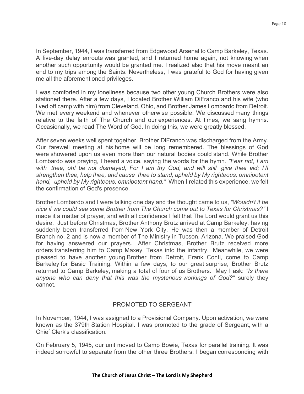In September, 1944, I was transferred from Edgewood Arsenal to Camp Barkeley, Texas. A five-day delay enroute was granted, and I returned home again, not knowing when another such opportunity would be granted me. I realized also that his move meant an end to my trips among the Saints. Nevertheless, I was grateful to God for having given me all the aforementioned privileges.

I was comforted in my loneliness because two other young Church Brothers were also stationed there. After a few days, I located Brother William DiFranco and his wife (who lived off camp with him) from Cleveland, Ohio, and Brother James Lombardo from Detroit. We met every weekend and whenever otherwise possible. We discussed many things relative to the faith of The Church and our experiences. At times, we sang hymns. Occasionally, we read The Word of God. In doing this, we were greatly blessed.

After seven weeks well spent together, Brother DiFranco was discharged from the Army. Our farewell meeting at his home will be long remembered. The blessings of God were showered upon us even more than our natural bodies could stand. While Brother Lombardo was praying, I heard a voice, saying the words for the hymn. *"Fear not, I am with thee, oh! be not dismayed, For I am thy God, and will still give thee aid; I'II strengthen thee, help thee, and cause thee to stand, upheld by My righteous, omnipotent hand, upheld by My righteous, omnipotent hand."* When I related this experience, we felt the confirmation of God's presence.

Brother Lombardo and I were talking one day and the thought came to us, *"Wouldn't it be nice if we could see some Brother from The Church come out to Texas for Christmas?"* I made it a matter of prayer, and with all confidence I felt that The Lord would grant us this desire. Just before Christmas, Brother Anthony Brutz arrived at Camp Barkeley, having suddenly been transferred from New York City. He was then a member of Detroit Branch no. 2 and is now a member of The Ministry in Tucson, Arizona. We praised God for having answered our prayers. After Christmas, Brother Brutz received more orders transferring him to Camp Maxey, Texas into the infantry. Meanwhile, we were pleased to have another young Brother from Detroit, Frank Conti, come to Camp Barkeley for Basic Training. Within a few days, to our great surprise, Brother Brutz returned to Camp Barkeley, making a total of four of us Brothers. May I ask: *"Is there anyone who can deny that this was the mysterious workings of God?"* surely they cannot.

# PROMOTED TO SERGEANT

In November, 1944, I was assigned to a Provisional Company. Upon activation, we were known as the 379th Station Hospital. I was promoted to the grade of Sergeant, with a Chief Clerk's classification.

On February 5, 1945, our unit moved to Camp Bowie, Texas for parallel training. It was indeed sorrowful to separate from the other three Brothers. I began corresponding with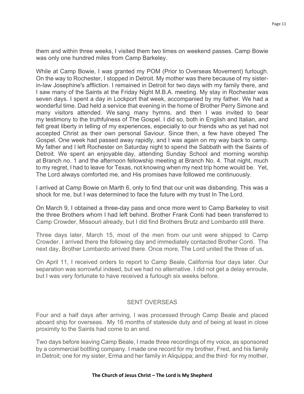them and within three weeks, I visited them two times on weekend passes. Camp Bowie was only one hundred miles from Camp Barkeley.

While at Camp Bowie, I was granted my POM (Prior to Overseas Movement) furlough. On the way to Rochester, I stopped in Detroit. My mother was there because of my sisterin-law Josephine's affliction. I remained in Detroit for two days with my family there, and I saw many of the Saints at the Friday Night M.B.A. meeting. My stay in Rochester was seven days. I spent a day in Lockport that week, accompanied by my father. We had a wonderful time. Dad held a service that evening in the home of Brother Perry Simone and many visitors attended. We sang many hymns, and then I was invited to bear my testimony to the truthfulness of The Gospel. I did so, both in English and Italian, and felt great liberty in telling of my experiences, especially to our friends who as yet had not accepted Christ as their own personal Saviour. Since then, a few have obeyed The Gospel. One week had passed away rapidly, and I was again on my way back to camp. My father and I left Rochester on Saturday night to spend the Sabbath with the Saints of Detroit. We spent an enjoyable day, attending Sunday School and morning worship at Branch no. 1 and the afternoon fellowship meeting at Branch No. 4. That night, much to my regret, I had to leave for Texas, not knowing when my next trip home would be. Yet, The Lord always comforted me, and His promises have followed me continuously.

I arrived at Camp Bowie on Marth 6, only to find that our unit was disbanding. This was a shock for me, but I was determined to face the future with my trust In The Lord.

On March 9, I obtained a three-day pass and once more went to Camp Barkeley to visit the three Brothers whom I had left behind. Brother Frank Conti had been transferred to Camp Crowder, Missouri already, but I did find Brothers Brutz and Lombardo still there.

Three days later, March 15, most of the men from our unit were shipped to Camp Crowder. I arrived there the following day and immediately contacted Brother Conti. The next day, Brother Lombardo arrived there. Once more, The Lord united the three of us.

On April 11, I received orders to report to Camp Beale, California four days later. Our separation was sorrowful indeed, but we had no alternative. I did not get a delay enroute, but I was very fortunate to have received a furlough six weeks before.

# SENT OVERSEAS

Four and a half days after arriving, I was processed through Camp Beale and placed aboard ship for overseas. My 16 months of stateside duty and of being at least in close proximity to the Saints had come to an end.

Two days before leaving Camp Beale, I made three recordings of my voice, as sponsored by a commercial bottling company. I made one record for my brother, Fred, and his family in Detroit; one for my sister, Erma and her family in Aliquippa; and the third· for my mother,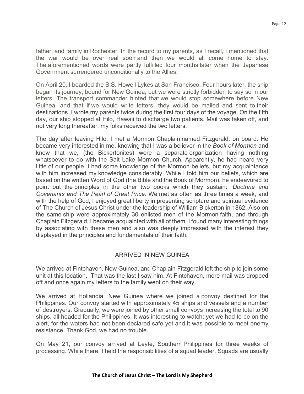father, and family in Rochester. In the record to my parents, as I recall, I mentioned that the war would be over real soon and then we would all come home to stay. The aforementioned words were partly fulfilled four months later when the Japanese Government surrendered unconditionally to the Allies.

On April 20, I boarded the S.S. Howell Lykes at San Francisco. Four hours later, the ship began its journey, bound for New Guinea, but we were strictly forbidden to say so in our letters. The transport commander hinted that we would stop somewhere before New Guinea, and that if we would write letters, they would be mailed and sent to their destinations. I wrote my parents twice during the first four days of the voyage. On the fifth day, our ship stopped at Hilo, Hawaii to discharge two patients. Mail was taken off, and not very long thereafter, my folks received the two letters.

The day after leaving Hilo, I met a Mormon Chaplain named Fitzgerald, on board. He became very interested in me. knowing that I was a believer in the *Book of Mormon* and know that we, (the Bickertonites) were a separate organization having nothing whatsoever to do with the Salt Lake Mormon Church. Apparently, he had heard very little of our people. I had some knowledge of the Mormon beliefs, but my acquaintance with him increased my knowledge considerably. While I told him our beliefs, which are based on the written Word of God (the Bible and the Book of Mormon), he endeavored to point out the principles in the other two books which they sustain: *Doctrine and Covenants and The Pearl of Great Price.* We met as often as three times a week, and with the help of God, I enjoyed great liberty in presenting scripture and spiritual evidence of The Church of Jesus Christ under the leadership of William Bickerton in 1862. Also on the same ship were approximately 30 enlisted men of the Mormon faith, and through Chaplain Fitzgerald, I became acquainted with all of them. I found many interesting things by associating with these men and also was deeply impressed with the interest they displayed in the principles and fundamentals of their faith.

# ARRIVED IN NEW GUINEA

We arrived at Fintchaven, New Guinea, and Chaplain Fitzgerald left the ship to join some unit at this location. That was the last I saw him. At Fintchaven, more mail was dropped off and once again my letters to the family went on their way.

We arrived at Hollandia, New Guinea where we joined a convoy destined for the Philippines. Our convoy started with approximately 45 ships and vessels and a number of destroyers. Gradually, we were joined by other small convoys increasing the total to 90 ships, all headed for the Philippines. It was interesting to watch; yet we had to be on the alert, for the waters had not been declared safe yet and it was possible to meet enemy resistance. Thank God, we had no trouble.

On May 21, our convoy arrived at Leyte, Southern Philippines for three weeks of processing. While there, I held the responsibilities of a squad leader. Squads are usually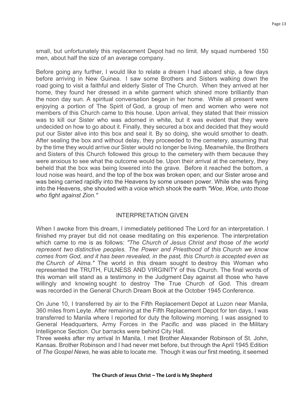small, but unfortunately this replacement Depot had no limit. My squad numbered 150 men, about half the size of an average company.

Before going any further, I would like to relate a dream I had aboard ship, a few days before arriving in New Guinea. I saw some Brothers and Sisters walking down the road going to visit a faithful and elderly Sister of The Church. When they arrived at her home, they found her dressed in a white garment which shined more brilliantly than the noon day sun. A spiritual conversation began in her home. While all present were enjoying a portion of The Spirit of God, a group of men and women who were not members of this Church came to this house. Upon arrival, they stated that their mission was to kill our Sister who was adorned in white, but it was evident that they were undecided on how to go about it. Finally, they secured a box and decided that they would put our Sister alive into this box and seal it. By so doing, she would smother to death. After sealing the box and without delay, they proceeded to the cemetery, assuming that by the time they would arrive our Sister would no longer be living. Meanwhile, the Brothers and Sisters of this Church followed this group to the cemetery with them because they were anxious to see what the outcome would be. Upon their arrival at the cemetery, they beheld that the box was being lowered into the grave. Before it reached the bottom, a loud noise was heard, and the top of the box was broken open; and our Sister arose and was being carried rapidly into the Heavens by some unseen power. While she was flying into the Heavens, she shouted with a voice which shook the earth *"Woe, Woe, unto those who fight against Zion."*

# INTERPRETATION GIVEN

When I awoke from this dream, I immediately petitioned The Lord for an interpretation. I finished my prayer but did not cease meditating on this experience. The interpretation which came to me is as follows: *"The Church of Jesus Christ and those of the world represent two distinctive peoples. The Power and Priesthood of this Church we know comes from God, and it has been revealed, in the past, this Church is accepted even as the Church of Alma."* The world in this dream sought to destroy this Woman who represented the TRUTH, FULNESS AND VIRGINITY of this Church. The final words of this woman will stand as a testimony in the Judgment Day against all those who have willingly and knowing sought to destroy The True Church of God. This dream was recorded in the General Church Dream Book at the October 1945 Conference.

On June 10, I transferred by air to the Fifth Replacement Depot at Luzon near Manila, 360 miles from Leyte. After remaining at the Fifth Replacement Depot for ten days, I was transferred to Manila where I reported for duty the following morning. I was assigned to General Headquarters, Army Forces in the Pacific and was placed in the Military Intelligence Section. Our barracks were behind City Hall.

Three weeks after my arrival In Manila, I met Brother Alexander Robinson of St. John, Kansas. Brother Robinson and I had never met before, but through the April 1945 Edition of *The Gospel News,* he was able to locate me. Though it was our first meeting, it seemed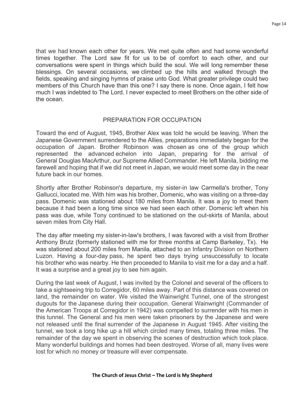that we had known each other for years. We met quite often and had some wonderful times together. The Lord saw fit for us to be of comfort to each other, and our conversations were spent in things which build the soul. We will long remember these blessings. On several occasions, we climbed up the hills and walked through the fields, speaking and singing hymns of praise unto God. What greater privilege could two members of this Church have than this one? I say there is none. Once again, I felt how much I was indebted to The Lord. I never expected to meet Brothers on the other side of the ocean.

#### PREPARATION FOR OCCUPATION

Toward the end of August, 1945, Brother Alex was told he would be leaving. When the Japanese Government surrendered to the Allies, preparations immediately began for the occupation of Japan. Brother Robinson was chosen as one of the group which represented the advanced echelon into Japan, preparing for the arrival of General Douglas MacArthur, our Supreme Allied Commander. He left Manila, bidding me farewell and hoping that if we did not meet in Japan, we would meet some day in the near future back in our homes.

Shortly after Brother Robinson's departure, my sister-in law Carmella's brother, Tony Gallucci, located me. With him was his brother, Domenic, who was visiting on a three-day pass. Domenic was stationed about 180 miles from Manila. It was a joy to meet them because it had been a long time since we had seen each other. Domenic left when his pass was due, while Tony continued to be stationed on the out-skirts of Manila, about seven miles from City Hall.

The day after meeting my sister-in-law's brothers, I was favored with a visit from Brother Anthony Brutz (formerly stationed with me for three months at Camp Barkeley, Tx). He was stationed about 200 miles from Manila, attached to an Infantry Division on Northern Luzon. Having a four-day pass, he spent two days trying unsuccessfully to locate his brother who was nearby. He then proceeded to Manila to visit me for a day and a half. It was a surprise and a great joy to see him again.

During the last week of August, I was invited by the Colonel and several of the officers to take a sightseeing trip to Corregidor, 60 miles away. Part of this distance was covered on land, the remainder on water. We visited the Wainwright Tunnel, one of the strongest dugouts for the Japanese during their occupation. General Wainwright (Commander of the American Troops at Corregidor in 1942) was compelled to surrender with his men in this tunnel. The General and his men were taken prisoners by the Japanese and were not released until the final surrender of the Japanese in August 1945. After visiting the tunnel, we took a long hike up a hill which circled many times, totaling three miles. The remainder of the day we spent in observing the scenes of destruction which took place. Many wonderful buildings and homes had been destroyed. Worse of all, many lives were lost for which no money or treasure will ever compensate.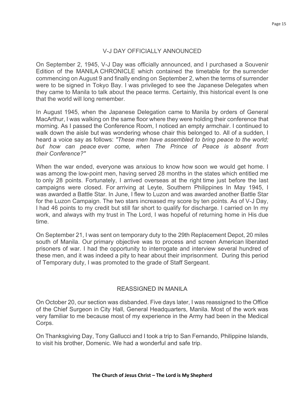# V-J DAY OFFICIALLY ANNOUNCED

On September 2, 1945, V-J Day was officially announced, and I purchased a Souvenir Edition of the MANILA CHRONICLE which contained the timetable for the surrender commencing on August 9 and finally ending on September 2, when the terms of surrender were to be signed in Tokyo Bay. I was privileged to see the Japanese Delegates when they came to Manila to talk about the peace terms. Certainly, this historical event Is one that the world will long remember.

In August 1945, when the Japanese Delegation came to Manila by orders of General MacArthur, I was walking on the same floor where they were holding their conference that morning. As I passed the Conference Room, I noticed an empty armchair. I continued to walk down the aisle but was wondering whose chair this belonged to. All of a sudden, I heard a voice say as follows: *"These men have assembled to bring peace to the world; but how can peace ever come, when The Prince of Peace is absent from their Conference?"*

When the war ended, everyone was anxious to know how soon we would get home. I was among the low-point men, having served 28 months in the states which entitled me to only 28 points. Fortunately, I arrived overseas at the right time just before the last campaigns were closed. For arriving at Leyte, Southern Philippines In May 1945, I was awarded a Battle Star. In June, I flew to Luzon and was awarded another Battle Star for the Luzon Campaign. The two stars increased my score by ten points. As of V-J Day, I had 46 points to my credit but still far short to qualify for discharge. I carried on In my work, and always with my trust in The Lord, I was hopeful of returning home in His due time.

On September 21, I was sent on temporary duty to the 29th Replacement Depot, 20 miles south of Manila. Our primary objective was to process and screen American liberated prisoners of war. I had the opportunity to interrogate and interview several hundred of these men, and it was indeed a pity to hear about their imprisonment. During this period of Temporary duty, I was promoted to the grade of Staff Sergeant.

# REASSIGNED IN MANILA

On October 20, our section was disbanded. Five days later, I was reassigned to the Office of the Chief Surgeon in City Hall, General Headquarters, Manila. Most of the work was very familiar to me because most of my experience in the Army had been in the Medical Corps.

On Thanksgiving Day, Tony Gallucci and I took a trip to San Fernando, Philippine Islands, to visit his brother, Domenic. We had a wonderful and safe trip.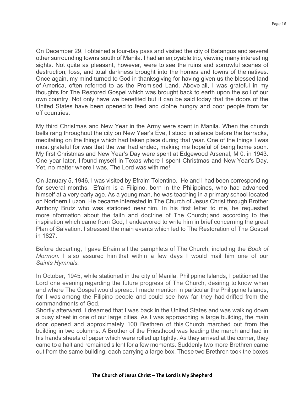On December 29, I obtained a four-day pass and visited the city of Batangus and several other surrounding towns south of Manila. I had an enjoyable trip, viewing many interesting sights. Not quite as pleasant, however, were to see the ruins and sorrowful scenes of destruction, loss, and total darkness brought into the homes and towns of the natives. Once again, my mind turned to God in thanksgiving for having given us the blessed land of America, often referred to as the Promised Land. Above all, I was grateful in my thoughts for The Restored Gospel which was brought back to earth upon the soil of our own country. Not only have we benefited but it can be said today that the doors of the United States have been opened to feed and clothe hungry and poor people from far off countries.

My third Christmas and New Year in the Army were spent in Manila. When the church bells rang throughout the city on New Year's Eve, I stood in silence before the barracks, meditating on the things which had taken place during that year. One of the things I was most grateful for was that the war had ended, making me hopeful of being home soon. My first Christmas and New Year's Day were spent at Edgewood Arsenal, M 0. in 1943. One year later, I found myself in Texas where I spent Christmas and New Year's Day. Yet, no matter where I was, The Lord was with me!

On January 5, 1946, I was visited by Efraim Tolentino. He and I had been corresponding for several months. Efraim is a Filipino, born in the Philippines, who had advanced himself at a very early age. As a young man, he was teaching in a primary school located on Northern Luzon. He became interested in The Church of Jesus Christ through Brother Anthony Brutz who was stationed near him. In his first letter to me, he requested more information about the faith and doctrine of The Church; and according to the inspiration which came from God, I endeavored to write him in brief concerning the great Plan of Salvation. I stressed the main events which led to The Restoration of The Gospel in 1827.

Before departing, I gave Efraim all the pamphlets of The Church, including the *Book of Mormon.* I also assured him that within a few days I would mail him one of our *Saints Hymnals.*

In October, 1945, while stationed in the city of Manila, Philippine Islands, I petitioned the Lord one evening regarding the future progress of The Church, desiring to know when and where The Gospel would spread. I made mention in particular the Philippine Islands, for I was among the Filipino people and could see how far they had drifted from the commandments of God.

Shortly afterward, I dreamed that I was back in the United States and was walking down a busy street in one of our large cities. As I was approaching a large building, the main door opened and approximately 100 Brethren of this Church marched out from the building in two columns. A Brother of the Priesthood was leading the march and had in his hands sheets of paper which were rolled up tightly. As they arrived at the corner, they came to a halt and remained silent for a few moments. Suddenly two more Brethren came out from the same building, each carrying a large box. These two Brethren took the boxes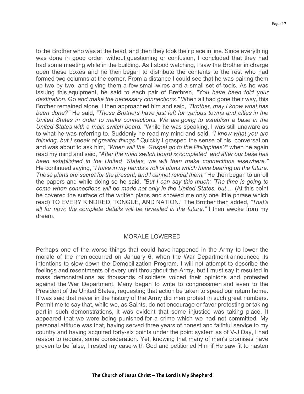to the Brother who was at the head, and then they took their place in line. Since everything was done in good order, without questioning or confusion, I concluded that they had had some meeting while in the building. As I stood watching, I saw the Brother in charge open these boxes and he then began to distribute the contents to the rest who had formed two columns at the corner. From a distance I could see that he was pairing them up two by two, and giving them a few small wires and a small set of tools. As he was issuing this equipment, he said to each pair of Brethren, *"You have been told your destination.* Go *and make the necessary connections."* When all had gone their way, this Brother remained alone. I then approached him and said, *"Brother, may I know what has been done?"* He said, *"Those Brothers have just left for various towns and cities in the United States in order to make connections. We are going to establish* a *base in the United States with* a *main switch board.* "While he was speaking, I was still unaware as to what he was referring to. Suddenly he read my mind and said, *"I know what you are thinking, but I speak of greater things."* Quickly I grasped the sense of his conversation and was about to ask him, *"When will the Gospel go to the Philippines?"* when he again read my mind and said, *"After the main switch board is completed and after our base has been established in the United States, we will then make connections elsewhere."*  He continued saying, *"I have in my hands* a *roll of plans which have bearing on the future. These plans are secret for the present, and I cannot reveal them."* He then began to unroll the papers and while doing so he said. *"But I can say this much: 'The time is going to come when connections will be made not only in the United States, but ...* (At this point he covered the surface of the written plans and showed me only one little phrase which read) TO EVERY KINDRED, TONGUE, AND NATION." The Brother then added, *"That's all for now; the complete details will be revealed in the future."* I then awoke from my dream.

#### MORALE LOWERED

Perhaps one of the worse things that could have happened in the Army to lower the morale of the men occurred on January 6, when the War Department announced its intentions to slow down the Demobilization Program. I will not attempt to describe the feelings and resentments of every unit throughout the Army, but I must say it resulted in mass demonstrations as thousands of soldiers voiced their opinions and protested against the War Department. Many began to write to congressmen and even to the President of the United States, requesting that action be taken to speed our return home. It was said that never in the history of the Army did men protest in such great numbers. Permit me to say that, while we, as Saints, do not encourage or favor protesting or taking part in such demonstrations, it was evident that some injustice was taking place. It appeared that we were being punished for a crime which we had not committed. My personal attitude was that, having served three years of honest and faithful service to my country and having acquired forty-six points under the point system as of V-J Day, I had reason to request some consideration. Yet, knowing that many of men's promises have proven to be false, I rested my case with God and petitioned Him if He saw fit to hasten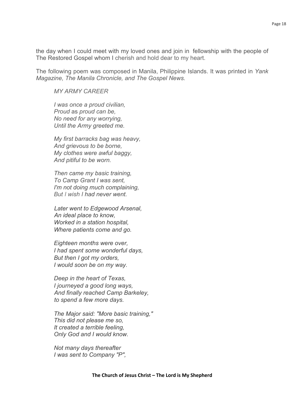the day when I could meet with my loved ones and join in fellowship with the people of The Restored Gospel whom I cherish and hold dear to my heart.

The following poem was composed in Manila, Philippine Islands. It was printed in *Yank Magazine, The Manila Chronicle, and The Gospel News.*

*MY ARMY CAREER*

*I was once a proud civilian, Proud* as *proud can be, No need for any worrying, Until the Army greeted me.*

*My first barracks bag was heavy, And grievous to be borne, My clothes were awful baggy, And pitiful to be worn.*

*Then came my basic training, To Camp Grant I was sent, I'm not doing much complaining, But I wish I had never went.*

*Later went to Edgewood Arsenal, An ideal place to know, Worked in a station hospital, Where patients come and go.*

*Eighteen months were over, I had spent some wonderful days, But then I got my orders, I would soon be on my way.*

*Deep in the heart of Texas, I journeyed a good long ways, And finally reached Camp Barkeley, to spend a few more days.*

*The Major said: "More basic training," This did not please me so, It created a terrible feeling, Only God and I would know.*

*Not many days thereafter I was sent to Company "P",*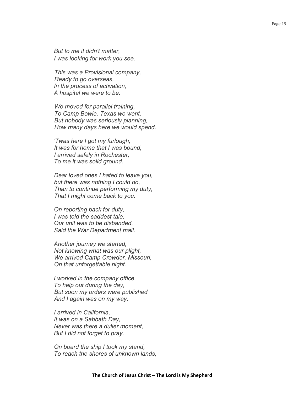*But to me it didn't matter, I was looking for work you see.*

*This was a Provisional company, Ready to go overseas, In the process of activation, A hospital we were to be.*

*We moved for parallel training, To Camp Bowie, Texas we went, But nobody was seriously planning, How many days here we would spend.*

*'Twas here I got my furlough, It was for home that I was bound, I arrived safely in Rochester, To me it was solid ground.*

*Dear loved ones I hated to leave you, but there was nothing I could do, Than to continue performing my duty, That I might come back to you.*

*On reporting back for duty, I was told the saddest tale, Our unit was to be disbanded, Said the War Department mail.*

*Another journey we started, Not knowing what was our plight, We arrived Camp Crowder, Missouri, On that unforgettable night.*

*I worked in the company office To help out during the day, But soon my orders were published And I again was on my way.*

*I arrived in California, It was on a Sabbath Day, Never was there a duller moment, But I did not forget to pray.*

*On board the ship I took my stand, To reach the shores of unknown lands,*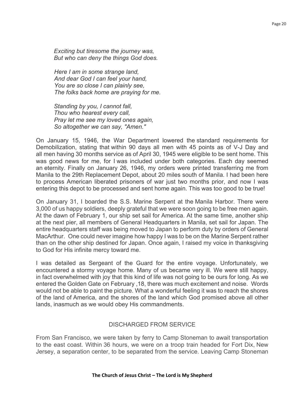*Exciting but tiresome the journey was, But who can deny the things God does.*

*Here I am in some strange land, And dear God I can feel your hand, You are so close I can plainly see, The folks back home are praying for me.*

*Standing by you, I cannot fall, Thou who hearest every call, Pray let me see my loved ones again, So altogether we can say, "Amen."*

On January 15, 1946, the War Department lowered the standard requirements for Demobilization, stating that within 90 days all men with 45 points as of V-J Day and all men having 30 months service as of April 30, 1945 were eligible to be sent home. This was good news for me, for I was included under both categories. Each day seemed an eternity. Finally on January 26, 1946, my orders were printed transferring me from Manila to the 29th Replacement Depot, about 20 miles south of Manila. I had been here to process American liberated prisoners of war just two months prior, and now I was entering this depot to be processed and sent home again. This was too good to be true!

On January 31, I boarded the S.S. Marine Serpent at the Manila Harbor. There were 3,000 of us happy soldiers, deeply grateful that we were soon going to be free men again. At the dawn of February 1, our ship set sail for America. At the same time, another ship at the next pier, all members of General Headquarters in Manila, set sail for Japan. The entire headquarters staff was being moved to Japan to perform duty by orders of General MacArthur. One could never imagine how happy I was to be on the Marine Serpent rather than on the other ship destined for Japan. Once again, I raised my voice in thanksgiving to God for His infinite mercy toward me.

I was detailed as Sergeant of the Guard for the entire voyage. Unfortunately, we encountered a stormy voyage home. Many of us became very ill. We were still happy, in fact overwhelmed with joy that this kind of life was not going to be ours for long. As we entered the Golden Gate on February ,18, there was much excitement and noise. Words would not be able to paint the picture. What a wonderful feeling it was to reach the shores of the land of America, and the shores of the land which God promised above all other lands, inasmuch as we would obey His commandments.

# DISCHARGED FROM SERVICE

From San Francisco, we were taken by ferry to Camp Stoneman to await transportation to the east coast. Within 36 hours, we were on a troop train headed for Fort Dix, New Jersey, a separation center, to be separated from the service. Leaving Camp Stoneman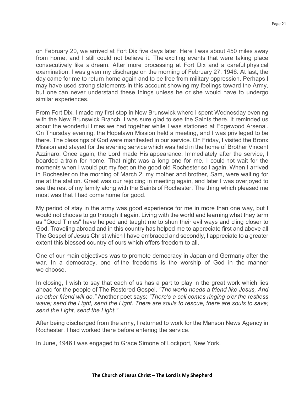on February 20, we arrived at Fort Dix five days later. Here I was about 450 miles away from home, and I still could not believe it. The exciting events that were taking place consecutively like a dream. After more processing at Fort Dix and a careful physical examination, I was given my discharge on the morning of February 27, 1946. At last, the day came for me to return home again and to be free from military oppression. Perhaps I may have used strong statements in this account showing my feelings toward the Army, but one can never understand these things unless he or she would have to undergo similar experiences.

From Fort Dix, I made my first stop in New Brunswick where I spent Wednesday evening with the New Brunswick Branch. I was sure glad to see the Saints there. It reminded us about the wonderful times we had together while I was stationed at Edgewood Arsenal. On Thursday evening, the Hopelawn Mission held a meeting, and I was privileged to be there. The blessings of God were manifested in our service. On Friday, I visited the Bronx Mission and stayed for the evening service which was held in the home of Brother Vincent Azzinaro. Once again, the Lord made His appearance. Immediately after the service, I boarded a train for home. That night was a long one for me. I could not wait for the moments when I would put my feet on the good old Rochester soil again. When I arrived in Rochester on the morning of March 2, my mother and brother, Sam, were waiting for me at the station. Great was our rejoicing in meeting again, and later I was overjoyed to see the rest of my family along with the Saints of Rochester. The thing which pleased me most was that I had come home for good.

My period of stay in the army was good experience for me in more than one way, but I would not choose to go through it again. Living with the world and learning what they term as "Good Times" have helped and taught me to shun their evil ways and cling closer to God. Traveling abroad and in this country has helped me to appreciate first and above all The Gospel of Jesus Christ which I have embraced and secondly, I appreciate to a greater extent this blessed country of ours which offers freedom to all.

One of our main objectives was to promote democracy in Japan and Germany after the war. In a democracy, one of the freedoms is the worship of God in the manner we choose.

In closing, I wish to say that each of us has a part to play in the great work which lies ahead for the people of The Restored Gospel. *"The world needs a friend like Jesus, And no other friend will do."* Another poet says: *"There's a call comes ringing o'er the restless wave; send the Light, send the Light. There are souls to rescue, there are souls to save; send the Light, send the Light."*

After being discharged from the army, I returned to work for the Manson News Agency in Rochester. I had worked there before entering the service.

In June, 1946 I was engaged to Grace Simone of Lockport, New York.